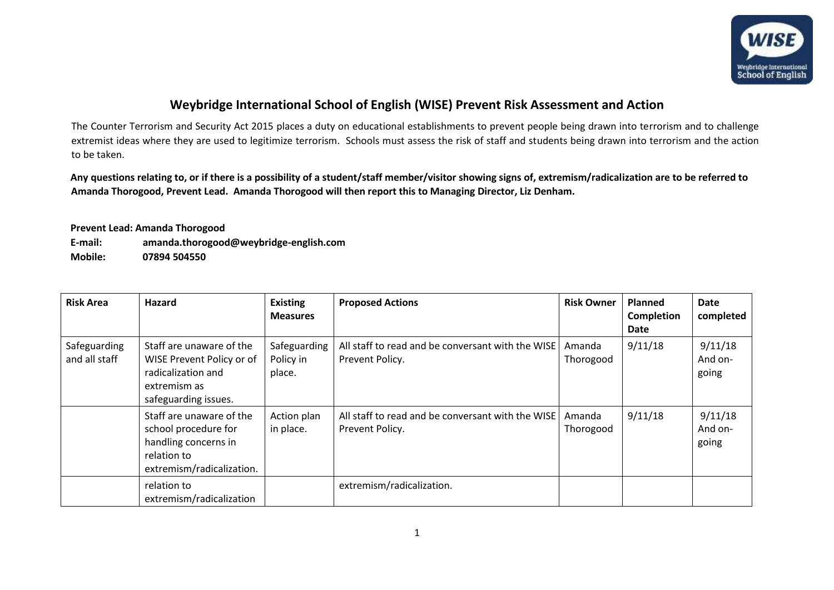

## **Weybridge International School of English (WISE) Prevent Risk Assessment and Action**

The Counter Terrorism and Security Act 2015 places a duty on educational establishments to prevent people being drawn into terrorism and to challenge extremist ideas where they are used to legitimize terrorism. Schools must assess the risk of staff and students being drawn into terrorism and the action to be taken.

**Any questions relating to, or if there is a possibility of a student/staff member/visitor showing signs of, extremism/radicalization are to be referred to Amanda Thorogood, Prevent Lead. Amanda Thorogood will then report this to Managing Director, Liz Denham.** 

**Prevent Lead: Amanda Thorogood** 

**E-mail: amanda.thorogood@weybridge-english.com Mobile: 07894 504550** 

| <b>Risk Area</b>              | Hazard                                                                                                               | <b>Existing</b><br><b>Measures</b>  | <b>Proposed Actions</b>                                              | <b>Risk Owner</b>   | <b>Planned</b><br><b>Completion</b><br>Date | Date<br>completed           |
|-------------------------------|----------------------------------------------------------------------------------------------------------------------|-------------------------------------|----------------------------------------------------------------------|---------------------|---------------------------------------------|-----------------------------|
| Safeguarding<br>and all staff | Staff are unaware of the<br>WISE Prevent Policy or of<br>radicalization and<br>extremism as<br>safeguarding issues.  | Safeguarding<br>Policy in<br>place. | All staff to read and be conversant with the WISE<br>Prevent Policy. | Amanda<br>Thorogood | 9/11/18                                     | 9/11/18<br>And on-<br>going |
|                               | Staff are unaware of the<br>school procedure for<br>handling concerns in<br>relation to<br>extremism/radicalization. | Action plan<br>in place.            | All staff to read and be conversant with the WISE<br>Prevent Policy. | Amanda<br>Thorogood | 9/11/18                                     | 9/11/18<br>And on-<br>going |
|                               | relation to<br>extremism/radicalization                                                                              |                                     | extremism/radicalization.                                            |                     |                                             |                             |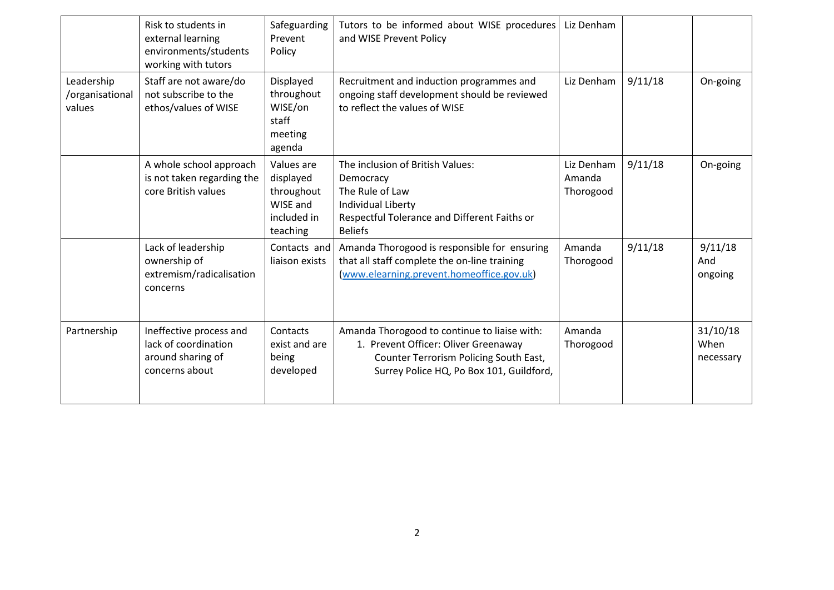|                                         | Risk to students in<br>external learning<br>environments/students<br>working with tutors | Safeguarding<br>Prevent<br>Policy                                            | Tutors to be informed about WISE procedures<br>and WISE Prevent Policy                                                                                                     | Liz Denham                        |         |                               |
|-----------------------------------------|------------------------------------------------------------------------------------------|------------------------------------------------------------------------------|----------------------------------------------------------------------------------------------------------------------------------------------------------------------------|-----------------------------------|---------|-------------------------------|
| Leadership<br>/organisational<br>values | Staff are not aware/do<br>not subscribe to the<br>ethos/values of WISE                   | Displayed<br>throughout<br>WISE/on<br>staff<br>meeting<br>agenda             | Recruitment and induction programmes and<br>ongoing staff development should be reviewed<br>to reflect the values of WISE                                                  | Liz Denham                        | 9/11/18 | On-going                      |
|                                         | A whole school approach<br>is not taken regarding the<br>core British values             | Values are<br>displayed<br>throughout<br>WISE and<br>included in<br>teaching | The inclusion of British Values:<br>Democracy<br>The Rule of Law<br>Individual Liberty<br>Respectful Tolerance and Different Faiths or<br><b>Beliefs</b>                   | Liz Denham<br>Amanda<br>Thorogood | 9/11/18 | On-going                      |
|                                         | Lack of leadership<br>ownership of<br>extremism/radicalisation<br>concerns               | Contacts and<br>liaison exists                                               | Amanda Thorogood is responsible for ensuring<br>that all staff complete the on-line training<br>(www.elearning.prevent.homeoffice.gov.uk)                                  | Amanda<br>Thorogood               | 9/11/18 | 9/11/18<br>And<br>ongoing     |
| Partnership                             | Ineffective process and<br>lack of coordination<br>around sharing of<br>concerns about   | Contacts<br>exist and are<br>being<br>developed                              | Amanda Thorogood to continue to liaise with:<br>1. Prevent Officer: Oliver Greenaway<br>Counter Terrorism Policing South East,<br>Surrey Police HQ, Po Box 101, Guildford, | Amanda<br>Thorogood               |         | 31/10/18<br>When<br>necessary |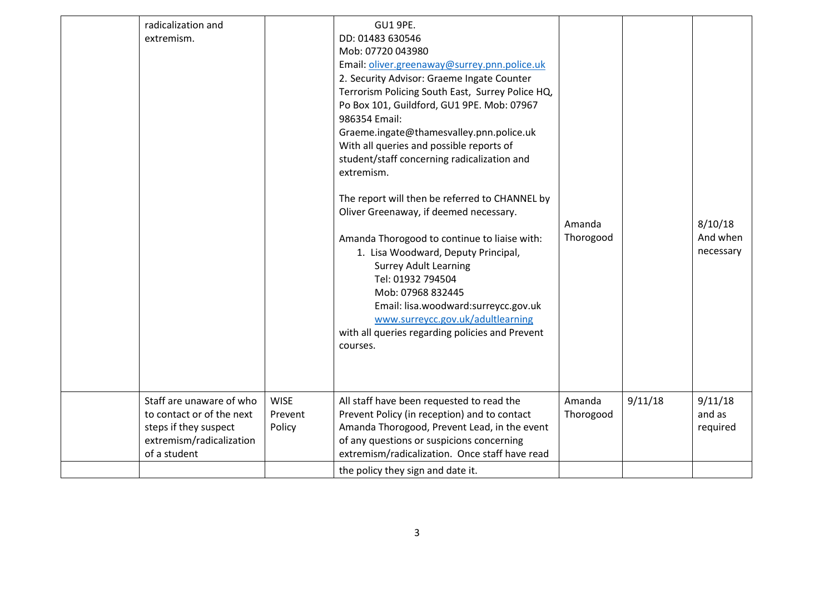| radicalization and<br>extremism.                                                                                           |                                  | <b>GU1 9PE.</b><br>DD: 01483 630546<br>Mob: 07720 043980<br>Email: oliver.greenaway@surrey.pnn.police.uk<br>2. Security Advisor: Graeme Ingate Counter<br>Terrorism Policing South East, Surrey Police HQ,<br>Po Box 101, Guildford, GU1 9PE. Mob: 07967<br>986354 Email:<br>Graeme.ingate@thamesvalley.pnn.police.uk<br>With all queries and possible reports of<br>student/staff concerning radicalization and<br>extremism.<br>The report will then be referred to CHANNEL by<br>Oliver Greenaway, if deemed necessary.<br>Amanda Thorogood to continue to liaise with:<br>1. Lisa Woodward, Deputy Principal,<br><b>Surrey Adult Learning</b><br>Tel: 01932 794504<br>Mob: 07968 832445<br>Email: lisa.woodward:surreycc.gov.uk<br>www.surreycc.gov.uk/adultlearning<br>with all queries regarding policies and Prevent<br>courses. | Amanda<br>Thorogood |         | 8/10/18<br>And when<br>necessary |
|----------------------------------------------------------------------------------------------------------------------------|----------------------------------|-----------------------------------------------------------------------------------------------------------------------------------------------------------------------------------------------------------------------------------------------------------------------------------------------------------------------------------------------------------------------------------------------------------------------------------------------------------------------------------------------------------------------------------------------------------------------------------------------------------------------------------------------------------------------------------------------------------------------------------------------------------------------------------------------------------------------------------------|---------------------|---------|----------------------------------|
| Staff are unaware of who<br>to contact or of the next<br>steps if they suspect<br>extremism/radicalization<br>of a student | <b>WISE</b><br>Prevent<br>Policy | All staff have been requested to read the<br>Prevent Policy (in reception) and to contact<br>Amanda Thorogood, Prevent Lead, in the event<br>of any questions or suspicions concerning<br>extremism/radicalization. Once staff have read                                                                                                                                                                                                                                                                                                                                                                                                                                                                                                                                                                                                | Amanda<br>Thorogood | 9/11/18 | 9/11/18<br>and as<br>required    |
|                                                                                                                            |                                  | the policy they sign and date it.                                                                                                                                                                                                                                                                                                                                                                                                                                                                                                                                                                                                                                                                                                                                                                                                       |                     |         |                                  |